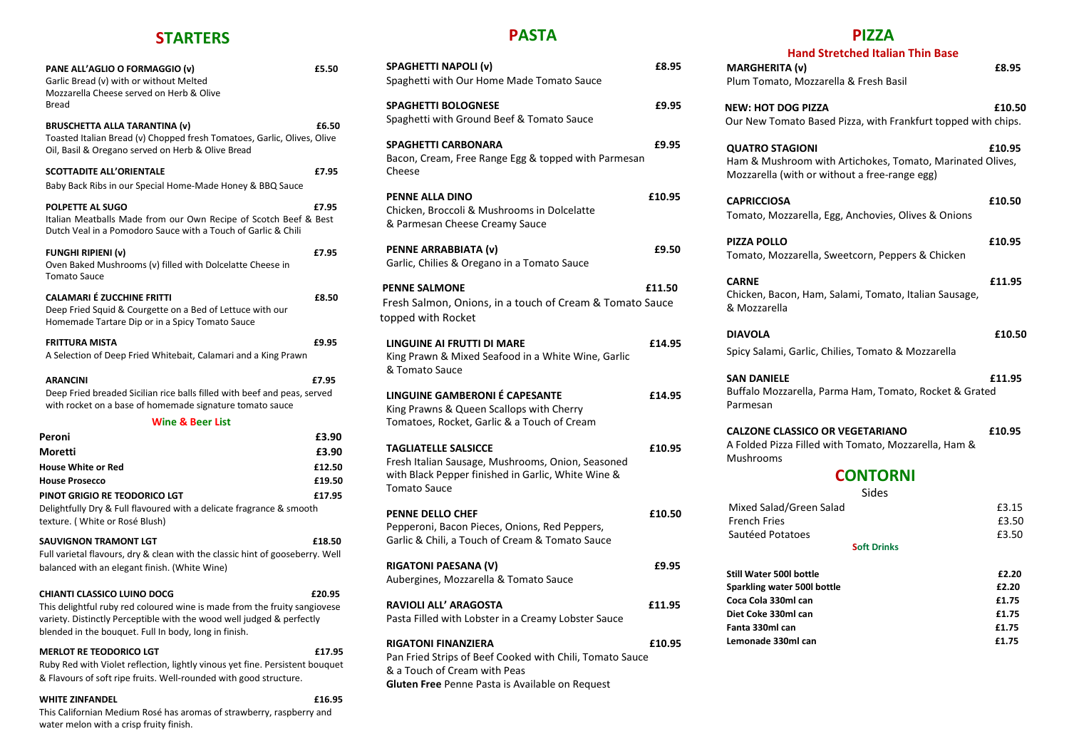### **STARTERS**

| PANE ALL'AGLIO O FORMAGGIO (v)<br>Garlic Bread (v) with or without Melted<br>Mozzarella Cheese served on Herb & Olive<br>Bread                                                                                                             | £5.50  |
|--------------------------------------------------------------------------------------------------------------------------------------------------------------------------------------------------------------------------------------------|--------|
| <b>BRUSCHETTA ALLA TARANTINA (v)</b><br>Toasted Italian Bread (v) Chopped fresh Tomatoes, Garlic, Olives, Olive<br>Oil, Basil & Oregano served on Herb & Olive Bread                                                                       | £6.50  |
| <b>SCOTTADITE ALL'ORIENTALE</b><br>Baby Back Ribs in our Special Home-Made Honey & BBQ Sauce                                                                                                                                               | £7.95  |
| POLPETTE AL SUGO<br>Italian Meatballs Made from our Own Recipe of Scotch Beef & Best<br>Dutch Veal in a Pomodoro Sauce with a Touch of Garlic & Chili                                                                                      | £7.95  |
| <b>FUNGHI RIPIENI (v)</b><br>Oven Baked Mushrooms (v) filled with Dolcelatte Cheese in<br><b>Tomato Sauce</b>                                                                                                                              | £7.95  |
| <b>CALAMARI É ZUCCHINE FRITTI</b><br>Deep Fried Squid & Courgette on a Bed of Lettuce with our<br>Homemade Tartare Dip or in a Spicy Tomato Sauce                                                                                          | £8.50  |
| <b>FRITTURA MISTA</b><br>A Selection of Deep Fried Whitebait, Calamari and a King Prawn                                                                                                                                                    | £9.95  |
| <b>ARANCINI</b><br>Deep Fried breaded Sicilian rice balls filled with beef and peas, served<br>with rocket on a base of homemade signature tomato sauce                                                                                    | £7.95  |
| <b>Wine &amp; Beer List</b>                                                                                                                                                                                                                |        |
| Peroni                                                                                                                                                                                                                                     | £3.90  |
| Moretti                                                                                                                                                                                                                                    | £3.90  |
| <b>House White or Red</b>                                                                                                                                                                                                                  | £12.50 |
| <b>House Prosecco</b>                                                                                                                                                                                                                      | £19.50 |
| PINOT GRIGIO RE TEODORICO LGT<br>Delightfully Dry & Full flavoured with a delicate fragrance & smooth<br>texture. (White or Rosé Blush)                                                                                                    | £17.95 |
| <b>SAUVIGNON TRAMONT LGT</b><br>Full varietal flavours, dry & clean with the classic hint of gooseberry. Well<br>balanced with an elegant finish. (White Wine)                                                                             | £18.50 |
| CHIANTI CLASSICO LUINO DOCG<br>This delightful ruby red coloured wine is made from the fruity sangiovese<br>variety. Distinctly Perceptible with the wood well judged & perfectly<br>blended in the bouquet. Full In body, long in finish. | £20.95 |
| <b>MERLOT RE TEODORICO LGT</b><br>Ruby Red with Violet reflection, lightly vinous yet fine. Persistent bouquet<br>& Flavours of soft ripe fruits. Well-rounded with good structure.                                                        | £17.95 |
| <b>WHITE ZINFANDEL</b><br>This Californian Medium Rosé has aromas of strawberry, raspberry and                                                                                                                                             | £16.95 |

water melon with a crisp fruity finish.

### **PASTA**

| <b>SPAGHETTI NAPOLI (v)</b><br>Spaghetti with Our Home Made Tomato Sauce                                                                                      | £8.95  |
|---------------------------------------------------------------------------------------------------------------------------------------------------------------|--------|
| <b>SPAGHETTI BOLOGNESE</b><br>Spaghetti with Ground Beef & Tomato Sauce                                                                                       | £9.95  |
| <b>SPAGHETTI CARBONARA</b><br>Bacon, Cream, Free Range Egg & topped with Parmesan<br>Cheese                                                                   | £9.95  |
| PENNE ALLA DINO<br>Chicken, Broccoli & Mushrooms in Dolcelatte<br>& Parmesan Cheese Creamy Sauce                                                              | £10.95 |
| PENNE ARRABBIATA (v)<br>Garlic, Chilies & Oregano in a Tomato Sauce                                                                                           | £9.50  |
| <b>PENNE SALMONE</b><br>Fresh Salmon, Onions, in a touch of Cream & Tomato Sauce<br>topped with Rocket                                                        | £11.50 |
| LINGUINE AI FRUTTI DI MARE<br>King Prawn & Mixed Seafood in a White Wine, Garlic<br>& Tomato Sauce                                                            | £14.95 |
| LINGUINE GAMBERONI É CAPESANTE<br>King Prawns & Queen Scallops with Cherry<br>Tomatoes, Rocket, Garlic & a Touch of Cream                                     | £14.95 |
| <b>TAGLIATELLE SALSICCE</b><br>Fresh Italian Sausage, Mushrooms, Onion, Seasoned<br>with Black Pepper finished in Garlic, White Wine &<br><b>Tomato Sauce</b> | £10.95 |
| <b>PENNE DELLO CHEF</b><br>Pepperoni, Bacon Pieces, Onions, Red Peppers,<br>Garlic & Chili, a Touch of Cream & Tomato Sauce                                   | £10.50 |
| <b>RIGATONI PAESANA (V)</b><br>Aubergines, Mozzarella & Tomato Sauce                                                                                          | £9.95  |
| <b>RAVIOLI ALL' ARAGOSTA</b><br>Pasta Filled with Lobster in a Creamy Lobster Sauce                                                                           | £11.95 |
| <b>RIGATONI FINANZIERA</b><br>Pan Fried Strips of Beef Cooked with Chili, Tomato Sauce<br>& a Touch of Cream with Peas                                        | £10.95 |

**Gluten Free** Penne Pasta is Available on Request

### **PIZZA**

| <b>Hand Stretched Italian Thin Base</b><br><b>MARGHERITA (v)</b>                                                                                     | £8.95                                              |
|------------------------------------------------------------------------------------------------------------------------------------------------------|----------------------------------------------------|
| Plum Tomato, Mozzarella & Fresh Basil                                                                                                                |                                                    |
| <b>NEW: HOT DOG PIZZA</b><br>Our New Tomato Based Pizza, with Frankfurt topped with chips.                                                           | £10.50                                             |
| <b>QUATRO STAGIONI</b><br>Ham & Mushroom with Artichokes, Tomato, Marinated Olives,<br>Mozzarella (with or without a free-range egg)                 | £10.95                                             |
| <b>CAPRICCIOSA</b><br>Tomato, Mozzarella, Egg, Anchovies, Olives & Onions                                                                            | £10.50                                             |
| <b>PIZZA POLLO</b><br>Tomato, Mozzarella, Sweetcorn, Peppers & Chicken                                                                               | £10.95                                             |
| <b>CARNE</b><br>Chicken, Bacon, Ham, Salami, Tomato, Italian Sausage,<br>& Mozzarella                                                                | £11.95                                             |
| <b>DIAVOLA</b><br>Spicy Salami, Garlic, Chilies, Tomato & Mozzarella                                                                                 | £10.50                                             |
| <b>SAN DANIELE</b><br>Buffalo Mozzarella, Parma Ham, Tomato, Rocket & Grated<br>Parmesan                                                             | £11.95                                             |
| <b>CALZONE CLASSICO OR VEGETARIANO</b><br>A Folded Pizza Filled with Tomato, Mozzarella, Ham &<br>Mushrooms                                          | £10.95                                             |
| <b>CONTORNI</b>                                                                                                                                      |                                                    |
| Sides<br>Mixed Salad/Green Salad<br><b>French Fries</b><br>Sautéed Potatoes<br><b>Soft Drinks</b>                                                    | £3.15<br>£3.50<br>£3.50                            |
| <b>Still Water 500l bottle</b><br>Sparkling water 500l bottle<br>Coca Cola 330ml can<br>Diet Coke 330ml can<br>Fanta 330ml can<br>Lemonade 330ml can | £2.20<br>£2.20<br>£1.75<br>£1.75<br>£1.75<br>£1.75 |